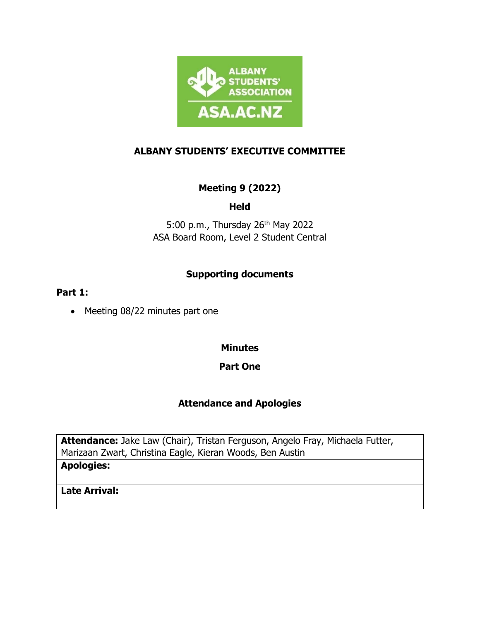

### **ALBANY STUDENTS' EXECUTIVE COMMITTEE**

## **Meeting 9 (2022)**

### **Held**

5:00 p.m., Thursday 26<sup>th</sup> May 2022 ASA Board Room, Level 2 Student Central

## **Supporting documents**

#### **Part 1:**

• Meeting 08/22 minutes part one

#### **Minutes**

### **Part One**

### **Attendance and Apologies**

**Attendance:** Jake Law (Chair), Tristan Ferguson, Angelo Fray, Michaela Futter, Marizaan Zwart, Christina Eagle, Kieran Woods, Ben Austin **Apologies:** 

**Late Arrival:**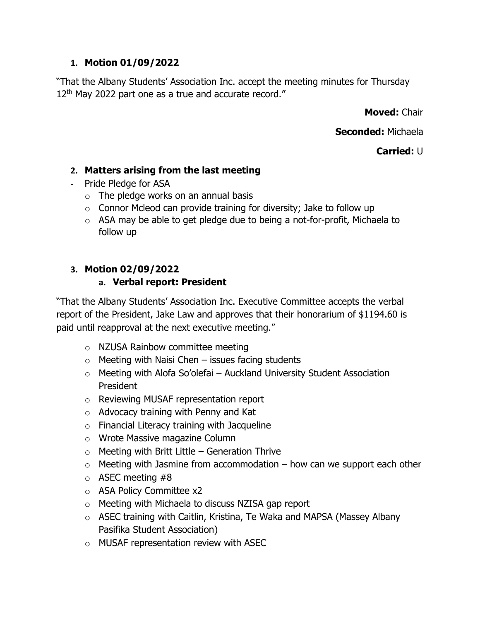### **1. Motion 01/09/2022**

"That the Albany Students' Association Inc. accept the meeting minutes for Thursday 12<sup>th</sup> May 2022 part one as a true and accurate record."

**Moved:** Chair

**Seconded:** Michaela

**Carried:** U

### **2. Matters arising from the last meeting**

- Pride Pledge for ASA
	- $\circ$  The pledge works on an annual basis
	- $\circ$  Connor Mcleod can provide training for diversity; Jake to follow up
	- o ASA may be able to get pledge due to being a not-for-profit, Michaela to follow up

## **3. Motion 02/09/2022**

### **a. Verbal report: President**

"That the Albany Students' Association Inc. Executive Committee accepts the verbal report of the President, Jake Law and approves that their honorarium of \$1194.60 is paid until reapproval at the next executive meeting."

- o NZUSA Rainbow committee meeting
- $\circ$  Meeting with Naisi Chen issues facing students
- $\circ$  Meeting with Alofa So'olefai Auckland University Student Association President
- o Reviewing MUSAF representation report
- o Advocacy training with Penny and Kat
- $\circ$  Financial Literacy training with Jacqueline
- o Wrote Massive magazine Column
- $\circ$  Meeting with Britt Little Generation Thrive
- $\circ$  Meeting with Jasmine from accommodation how can we support each other
- $\circ$  ASEC meeting #8
- o ASA Policy Committee x2
- o Meeting with Michaela to discuss NZISA gap report
- o ASEC training with Caitlin, Kristina, Te Waka and MAPSA (Massey Albany Pasifika Student Association)
- o MUSAF representation review with ASEC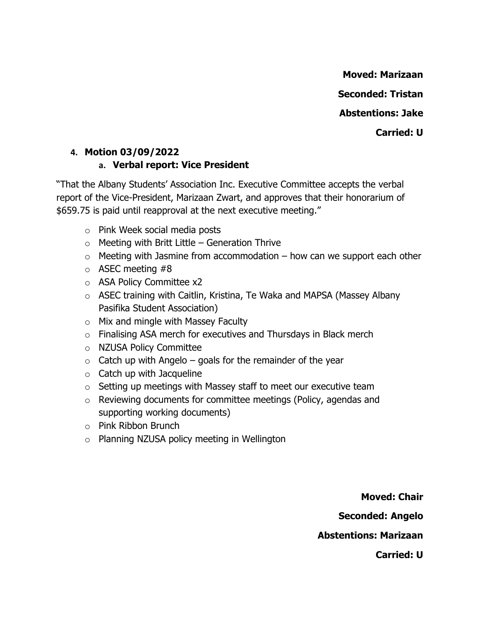**Moved: Marizaan Seconded: Tristan Abstentions: Jake Carried: U** 

# **4. Motion 03/09/2022 a. Verbal report: Vice President**

"That the Albany Students' Association Inc. Executive Committee accepts the verbal report of the Vice-President, Marizaan Zwart, and approves that their honorarium of \$659.75 is paid until reapproval at the next executive meeting."

- o Pink Week social media posts
- $\circ$  Meeting with Britt Little Generation Thrive
- $\circ$  Meeting with Jasmine from accommodation how can we support each other
- $\circ$  ASEC meeting #8
- o ASA Policy Committee x2
- o ASEC training with Caitlin, Kristina, Te Waka and MAPSA (Massey Albany Pasifika Student Association)
- o Mix and mingle with Massey Faculty
- o Finalising ASA merch for executives and Thursdays in Black merch
- o NZUSA Policy Committee
- $\circ$  Catch up with Angelo goals for the remainder of the year
- $\circ$  Catch up with Jacqueline
- $\circ$  Setting up meetings with Massey staff to meet our executive team
- o Reviewing documents for committee meetings (Policy, agendas and supporting working documents)
- o Pink Ribbon Brunch
- o Planning NZUSA policy meeting in Wellington

**Moved: Chair Seconded: Angelo Abstentions: Marizaan Carried: U**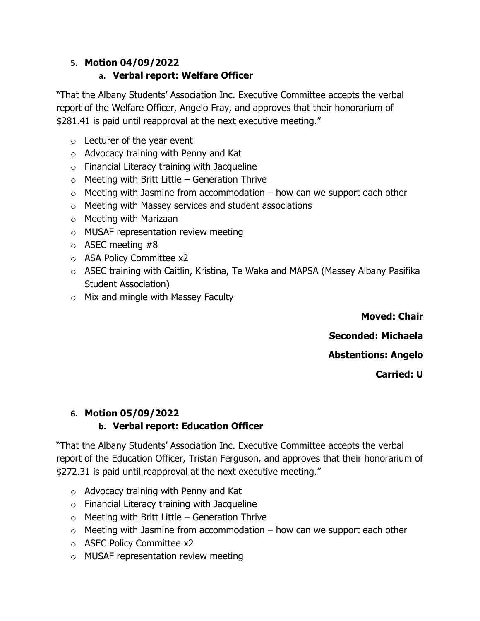## **5. Motion 04/09/2022**

## **a. Verbal report: Welfare Officer**

"That the Albany Students' Association Inc. Executive Committee accepts the verbal report of the Welfare Officer, Angelo Fray, and approves that their honorarium of \$281.41 is paid until reapproval at the next executive meeting."

- $\circ$  Lecturer of the year event
- o Advocacy training with Penny and Kat
- $\circ$  Financial Literacy training with Jacqueline
- $\circ$  Meeting with Britt Little Generation Thrive
- $\circ$  Meeting with Jasmine from accommodation how can we support each other
- o Meeting with Massey services and student associations
- o Meeting with Marizaan
- o MUSAF representation review meeting
- $\circ$  ASEC meeting #8
- o ASA Policy Committee x2
- o ASEC training with Caitlin, Kristina, Te Waka and MAPSA (Massey Albany Pasifika Student Association)
- o Mix and mingle with Massey Faculty

**Moved: Chair Seconded: Michaela Abstentions: Angelo**

**Carried: U** 

# **6. Motion 05/09/2022**

# **b. Verbal report: Education Officer**

"That the Albany Students' Association Inc. Executive Committee accepts the verbal report of the Education Officer, Tristan Ferguson, and approves that their honorarium of \$272.31 is paid until reapproval at the next executive meeting."

- o Advocacy training with Penny and Kat
- o Financial Literacy training with Jacqueline
- $\circ$  Meeting with Britt Little Generation Thrive
- $\circ$  Meeting with Jasmine from accommodation how can we support each other
- o ASEC Policy Committee x2
- o MUSAF representation review meeting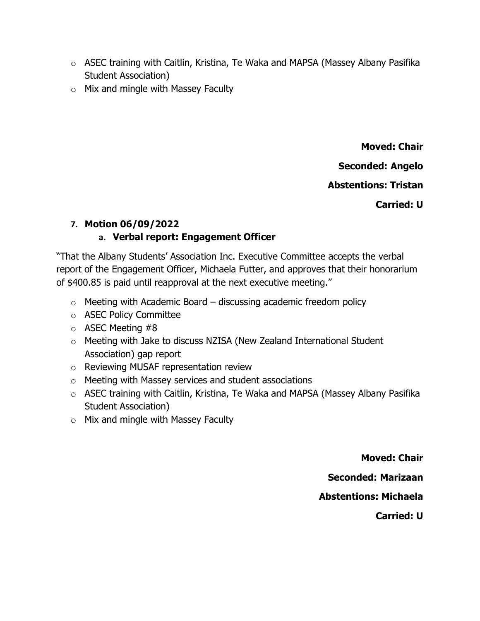- o ASEC training with Caitlin, Kristina, Te Waka and MAPSA (Massey Albany Pasifika Student Association)
- $\circ$  Mix and mingle with Massey Faculty

**Moved: Chair Seconded: Angelo Abstentions: Tristan**

**Carried: U** 

### **7. Motion 06/09/2022**

## **a. Verbal report: Engagement Officer**

"That the Albany Students' Association Inc. Executive Committee accepts the verbal report of the Engagement Officer, Michaela Futter, and approves that their honorarium of \$400.85 is paid until reapproval at the next executive meeting."

- $\circ$  Meeting with Academic Board discussing academic freedom policy
- o ASEC Policy Committee
- $\circ$  ASEC Meeting #8
- o Meeting with Jake to discuss NZISA (New Zealand International Student Association) gap report
- o Reviewing MUSAF representation review
- o Meeting with Massey services and student associations
- o ASEC training with Caitlin, Kristina, Te Waka and MAPSA (Massey Albany Pasifika Student Association)
- o Mix and mingle with Massey Faculty

**Moved: Chair Seconded: Marizaan Abstentions: Michaela Carried: U**